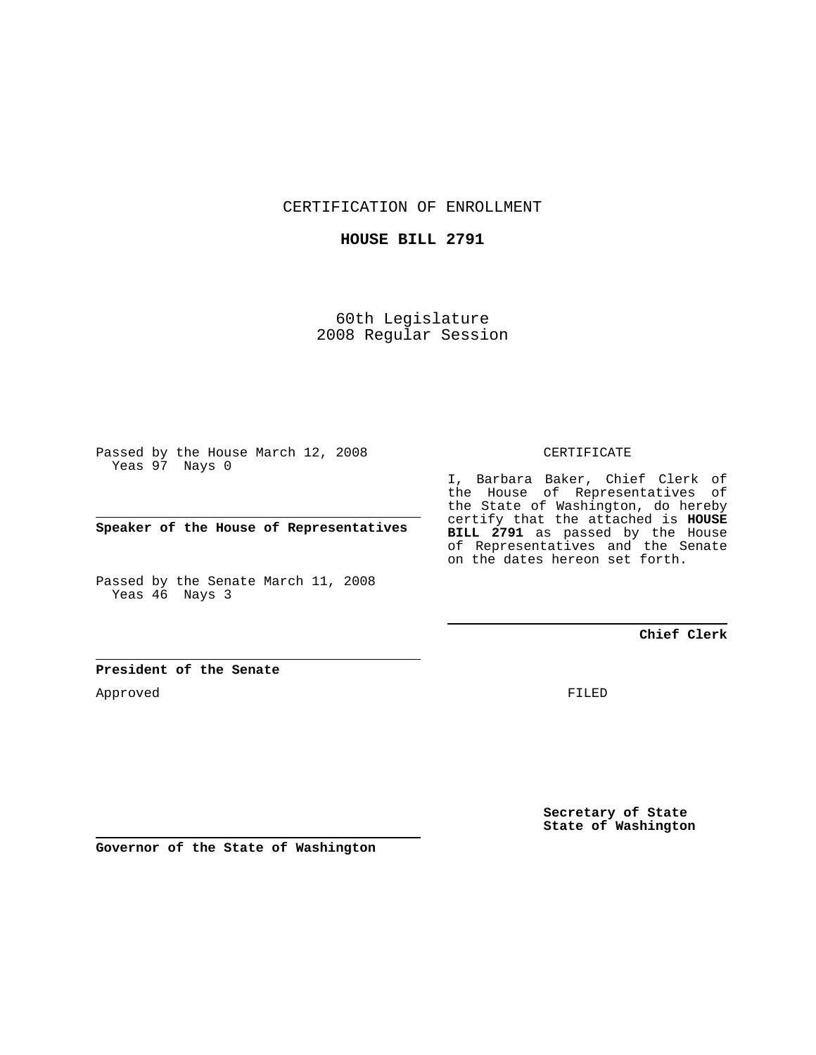CERTIFICATION OF ENROLLMENT

## **HOUSE BILL 2791**

60th Legislature 2008 Regular Session

Passed by the House March 12, 2008 Yeas 97 Nays 0

**Speaker of the House of Representatives**

Passed by the Senate March 11, 2008 Yeas 46 Nays 3

## CERTIFICATE

I, Barbara Baker, Chief Clerk of the House of Representatives of the State of Washington, do hereby certify that the attached is **HOUSE BILL 2791** as passed by the House of Representatives and the Senate on the dates hereon set forth.

## **Chief Clerk**

## **President of the Senate**

Approved

FILED

**Secretary of State State of Washington**

**Governor of the State of Washington**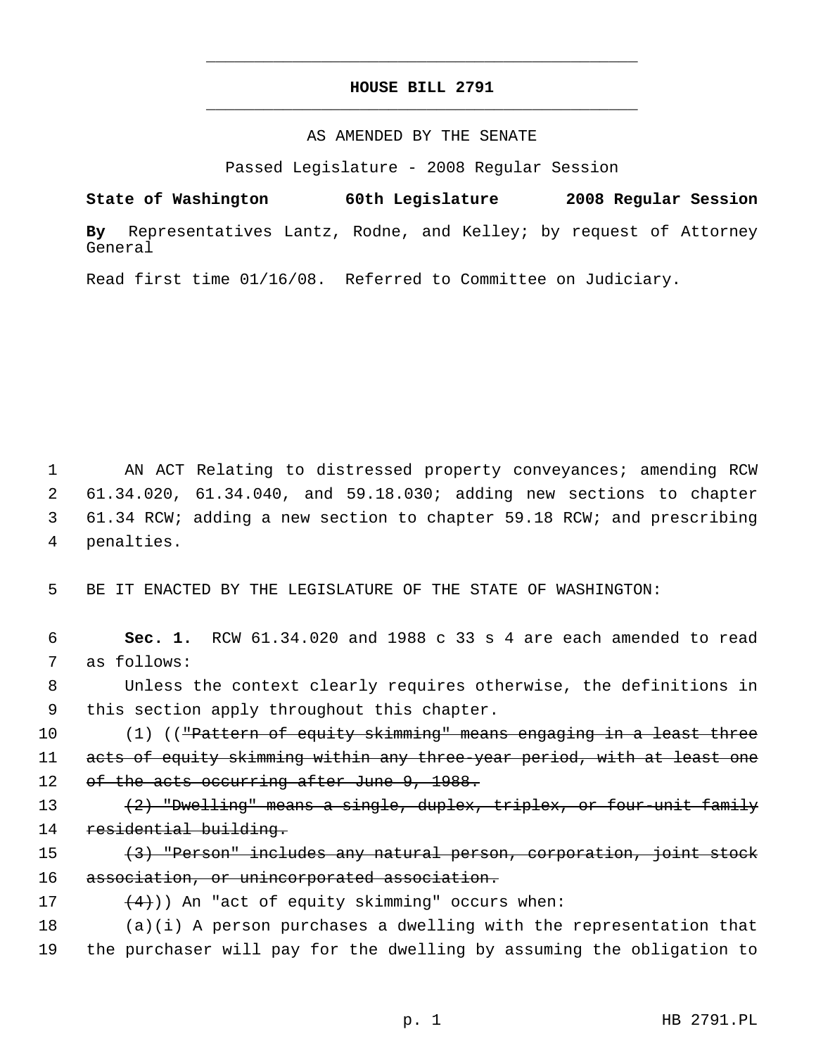## **HOUSE BILL 2791** \_\_\_\_\_\_\_\_\_\_\_\_\_\_\_\_\_\_\_\_\_\_\_\_\_\_\_\_\_\_\_\_\_\_\_\_\_\_\_\_\_\_\_\_\_

\_\_\_\_\_\_\_\_\_\_\_\_\_\_\_\_\_\_\_\_\_\_\_\_\_\_\_\_\_\_\_\_\_\_\_\_\_\_\_\_\_\_\_\_\_

#### AS AMENDED BY THE SENATE

Passed Legislature - 2008 Regular Session

**State of Washington 60th Legislature 2008 Regular Session**

**By** Representatives Lantz, Rodne, and Kelley; by request of Attorney General

Read first time 01/16/08. Referred to Committee on Judiciary.

 AN ACT Relating to distressed property conveyances; amending RCW 61.34.020, 61.34.040, and 59.18.030; adding new sections to chapter 61.34 RCW; adding a new section to chapter 59.18 RCW; and prescribing penalties.

5 BE IT ENACTED BY THE LEGISLATURE OF THE STATE OF WASHINGTON:

 6 **Sec. 1.** RCW 61.34.020 and 1988 c 33 s 4 are each amended to read 7 as follows:

 8 Unless the context clearly requires otherwise, the definitions in 9 this section apply throughout this chapter.

10 (1) ((<del>"Pattern of equity skimming" means engaging in a least three</del> 11 acts of equity skimming within any three-year period, with at least one 12 of the acts occurring after June 9, 1988.

- 13 (2) "Dwelling" means a single, duplex, triplex, or four-unit family 14 residential building.
- 15 (3) "Person" includes any natural person, corporation, joint stock 16 association, or unincorporated association.

17  $(4)$ ) An "act of equity skimming" occurs when:

18 (a)(i) A person purchases a dwelling with the representation that 19 the purchaser will pay for the dwelling by assuming the obligation to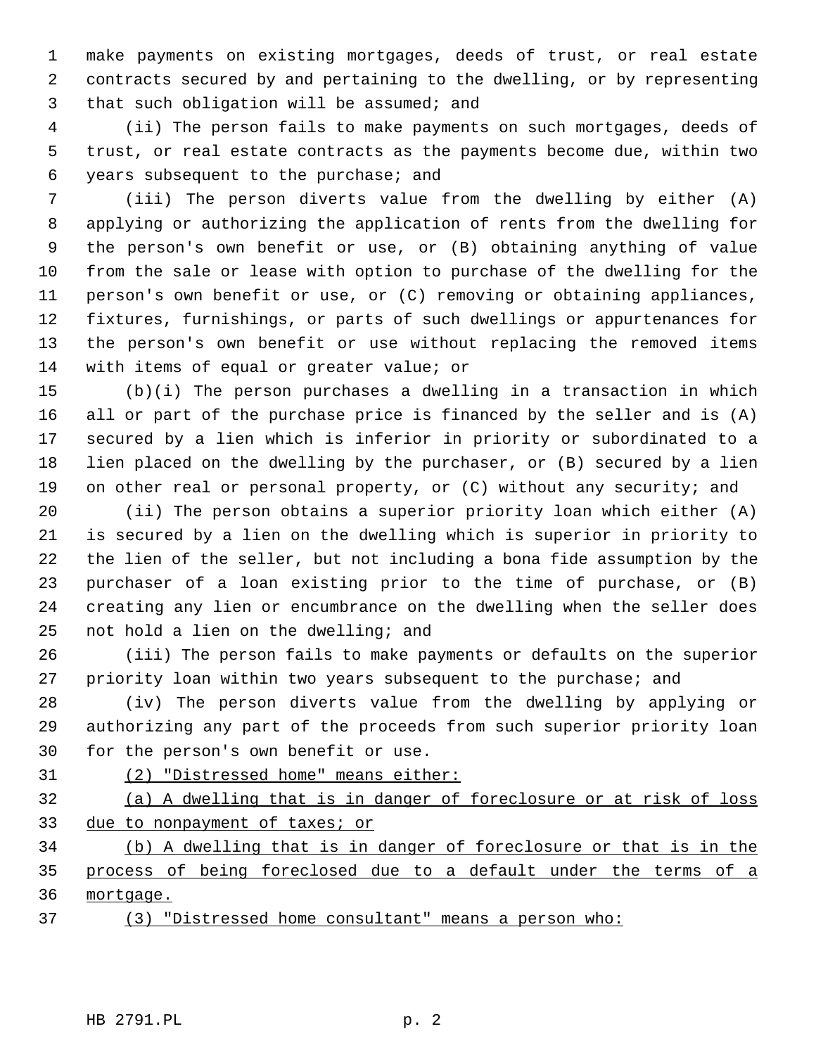make payments on existing mortgages, deeds of trust, or real estate contracts secured by and pertaining to the dwelling, or by representing that such obligation will be assumed; and

 (ii) The person fails to make payments on such mortgages, deeds of trust, or real estate contracts as the payments become due, within two years subsequent to the purchase; and

 (iii) The person diverts value from the dwelling by either (A) applying or authorizing the application of rents from the dwelling for the person's own benefit or use, or (B) obtaining anything of value from the sale or lease with option to purchase of the dwelling for the person's own benefit or use, or (C) removing or obtaining appliances, fixtures, furnishings, or parts of such dwellings or appurtenances for the person's own benefit or use without replacing the removed items with items of equal or greater value; or

 (b)(i) The person purchases a dwelling in a transaction in which all or part of the purchase price is financed by the seller and is (A) secured by a lien which is inferior in priority or subordinated to a lien placed on the dwelling by the purchaser, or (B) secured by a lien on other real or personal property, or (C) without any security; and

 (ii) The person obtains a superior priority loan which either (A) is secured by a lien on the dwelling which is superior in priority to the lien of the seller, but not including a bona fide assumption by the purchaser of a loan existing prior to the time of purchase, or (B) creating any lien or encumbrance on the dwelling when the seller does not hold a lien on the dwelling; and

 (iii) The person fails to make payments or defaults on the superior priority loan within two years subsequent to the purchase; and

 (iv) The person diverts value from the dwelling by applying or authorizing any part of the proceeds from such superior priority loan for the person's own benefit or use.

(2) "Distressed home" means either:

 (a) A dwelling that is in danger of foreclosure or at risk of loss 33 due to nonpayment of taxes; or

 (b) A dwelling that is in danger of foreclosure or that is in the process of being foreclosed due to a default under the terms of a mortgage.

(3) "Distressed home consultant" means a person who: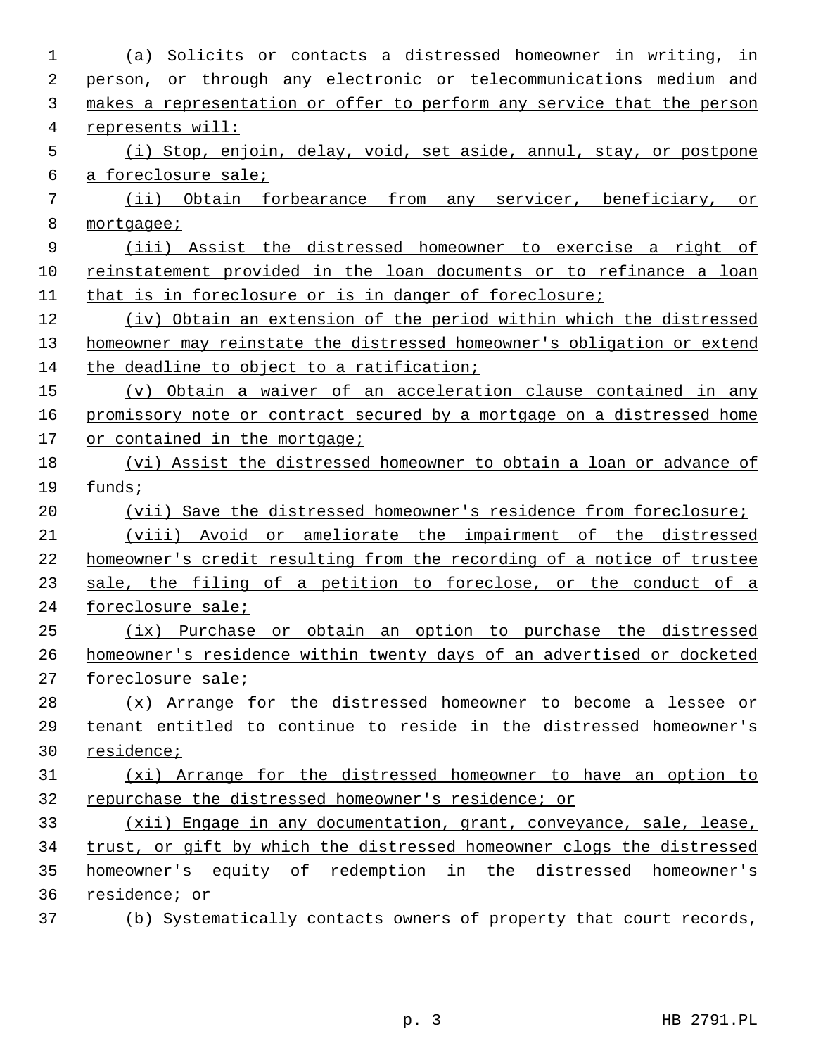| 1  | Solicits or contacts a distressed homeowner in writing, in<br>(a)       |
|----|-------------------------------------------------------------------------|
| 2  | person, or through any electronic or telecommunications medium and      |
| 3  | makes a representation or offer to perform any service that the person  |
| 4  | represents will:                                                        |
| 5  | (i) Stop, enjoin, delay, void, set aside, annul, stay, or postpone      |
| 6  | a foreclosure sale;                                                     |
| 7  | (ii) Obtain forbearance from any servicer, beneficiary,<br>or           |
| 8  | mortgagee;                                                              |
| 9  | (iii) Assist the distressed homeowner to exercise a right of            |
| 10 | reinstatement provided in the loan documents or to refinance a loan     |
| 11 | that is in foreclosure or is in danger of foreclosure;                  |
| 12 | (iv) Obtain an extension of the period within which the distressed      |
| 13 | homeowner may reinstate the distressed homeowner's obligation or extend |
| 14 | the deadline to object to a ratification;                               |
| 15 | (v) Obtain a waiver of an acceleration clause contained in any          |
| 16 | promissory note or contract secured by a mortgage on a distressed home  |
| 17 | or contained in the mortgage;                                           |
| 18 | (vi) Assist the distressed homeowner to obtain a loan or advance of     |
| 19 | funds;                                                                  |
| 20 | (vii) Save the distressed homeowner's residence from foreclosure;       |
| 21 | (viii) Avoid or ameliorate the impairment of the distressed             |
| 22 | homeowner's credit resulting from the recording of a notice of trustee  |
| 23 | sale, the filing of a petition to foreclose, or the conduct of a        |
| 24 | foreclosure sale;                                                       |
| 25 | (ix) Purchase or obtain an option to purchase the distressed            |
| 26 | homeowner's residence within twenty days of an advertised or docketed   |
| 27 | foreclosure sale;                                                       |
| 28 | (x) Arrange for the distressed homeowner to become a lessee or          |
| 29 | tenant entitled to continue to reside in the distressed homeowner's     |
| 30 | residence;                                                              |
| 31 | (xi) Arrange for the distressed homeowner to have an option to          |
| 32 | repurchase the distressed homeowner's residence; or                     |
| 33 | (xii) Engage in any documentation, grant, conveyance, sale, lease,      |
| 34 | trust, or gift by which the distressed homeowner clogs the distressed   |
| 35 | homeowner's equity of redemption in the distressed homeowner's          |
| 36 | residence; or                                                           |
| 37 | (b) Systematically contacts owners of property that court records,      |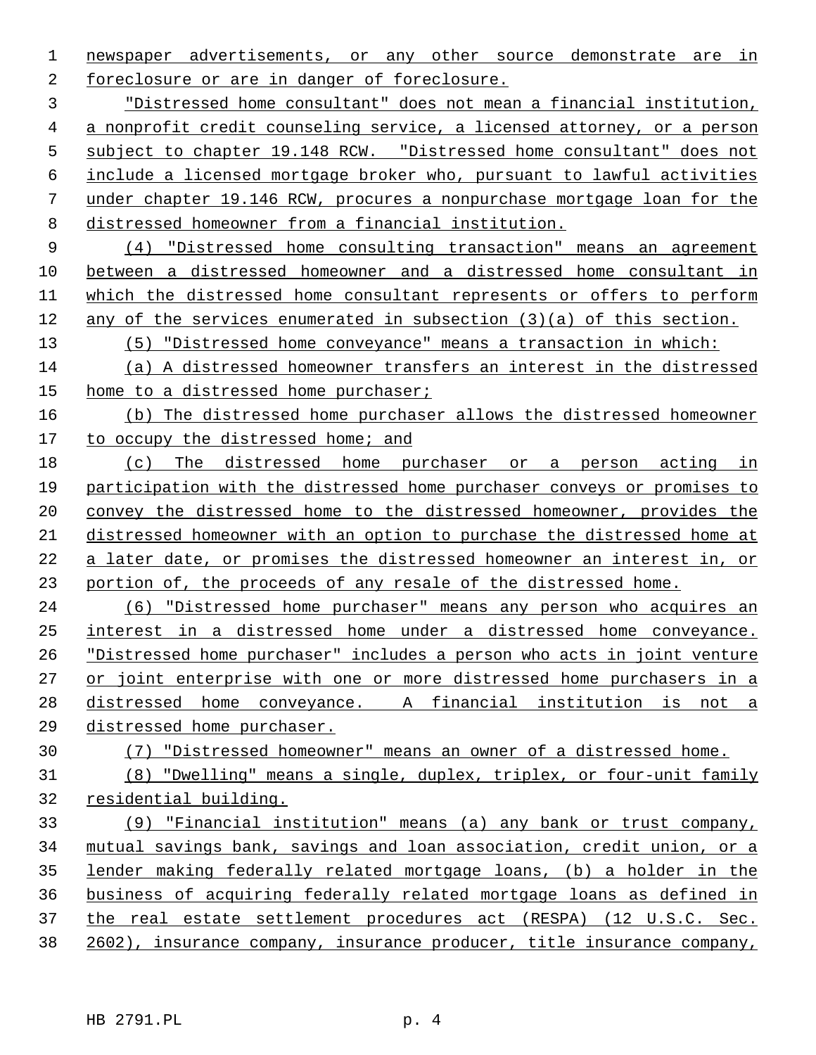newspaper advertisements, or any other source demonstrate are in foreclosure or are in danger of foreclosure.

 "Distressed home consultant" does not mean a financial institution, a nonprofit credit counseling service, a licensed attorney, or a person subject to chapter 19.148 RCW. "Distressed home consultant" does not include a licensed mortgage broker who, pursuant to lawful activities under chapter 19.146 RCW, procures a nonpurchase mortgage loan for the distressed homeowner from a financial institution.

 (4) "Distressed home consulting transaction" means an agreement between a distressed homeowner and a distressed home consultant in which the distressed home consultant represents or offers to perform any of the services enumerated in subsection (3)(a) of this section.

(5) "Distressed home conveyance" means a transaction in which:

 (a) A distressed homeowner transfers an interest in the distressed home to a distressed home purchaser;

 (b) The distressed home purchaser allows the distressed homeowner 17 to occupy the distressed home; and

 (c) The distressed home purchaser or a person acting in participation with the distressed home purchaser conveys or promises to convey the distressed home to the distressed homeowner, provides the distressed homeowner with an option to purchase the distressed home at a later date, or promises the distressed homeowner an interest in, or portion of, the proceeds of any resale of the distressed home.

 (6) "Distressed home purchaser" means any person who acquires an interest in a distressed home under a distressed home conveyance. "Distressed home purchaser" includes a person who acts in joint venture or joint enterprise with one or more distressed home purchasers in a distressed home conveyance. A financial institution is not a distressed home purchaser.

# (7) "Distressed homeowner" means an owner of a distressed home.

 (8) "Dwelling" means a single, duplex, triplex, or four-unit family residential building.

 (9) "Financial institution" means (a) any bank or trust company, mutual savings bank, savings and loan association, credit union, or a lender making federally related mortgage loans, (b) a holder in the business of acquiring federally related mortgage loans as defined in the real estate settlement procedures act (RESPA) (12 U.S.C. Sec. 2602), insurance company, insurance producer, title insurance company,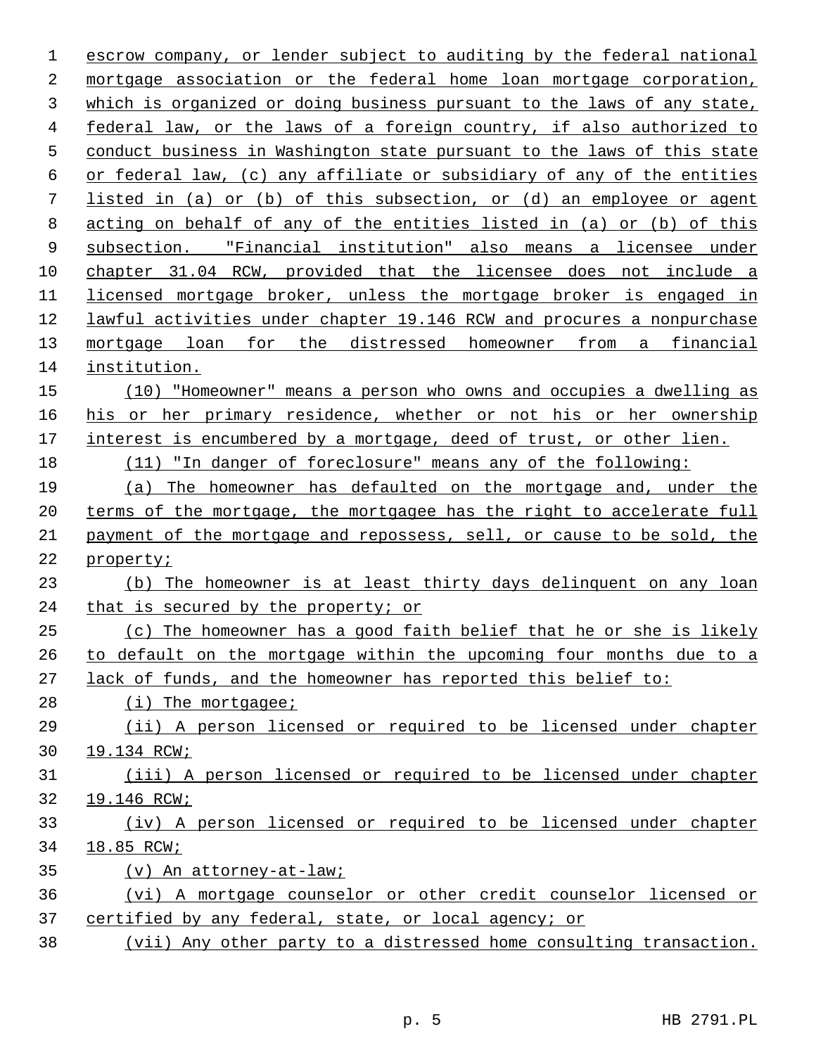escrow company, or lender subject to auditing by the federal national mortgage association or the federal home loan mortgage corporation, which is organized or doing business pursuant to the laws of any state, federal law, or the laws of a foreign country, if also authorized to conduct business in Washington state pursuant to the laws of this state or federal law, (c) any affiliate or subsidiary of any of the entities listed in (a) or (b) of this subsection, or (d) an employee or agent acting on behalf of any of the entities listed in (a) or (b) of this subsection. "Financial institution" also means a licensee under chapter 31.04 RCW, provided that the licensee does not include a licensed mortgage broker, unless the mortgage broker is engaged in lawful activities under chapter 19.146 RCW and procures a nonpurchase mortgage loan for the distressed homeowner from a financial institution. (10) "Homeowner" means a person who owns and occupies a dwelling as 16 his or her primary residence, whether or not his or her ownership interest is encumbered by a mortgage, deed of trust, or other lien. (11) "In danger of foreclosure" means any of the following: (a) The homeowner has defaulted on the mortgage and, under the terms of the mortgage, the mortgagee has the right to accelerate full payment of the mortgage and repossess, sell, or cause to be sold, the property; (b) The homeowner is at least thirty days delinquent on any loan that is secured by the property; or (c) The homeowner has a good faith belief that he or she is likely to default on the mortgage within the upcoming four months due to a lack of funds, and the homeowner has reported this belief to:

28 (i) The mortgagee;

 (ii) A person licensed or required to be licensed under chapter 19.134 RCW;

 (iii) A person licensed or required to be licensed under chapter 19.146 RCW;

 (iv) A person licensed or required to be licensed under chapter 18.85 RCW;

- (v) An attorney-at-law;
- (vi) A mortgage counselor or other credit counselor licensed or 37 certified by any federal, state, or local agency; or
- (vii) Any other party to a distressed home consulting transaction.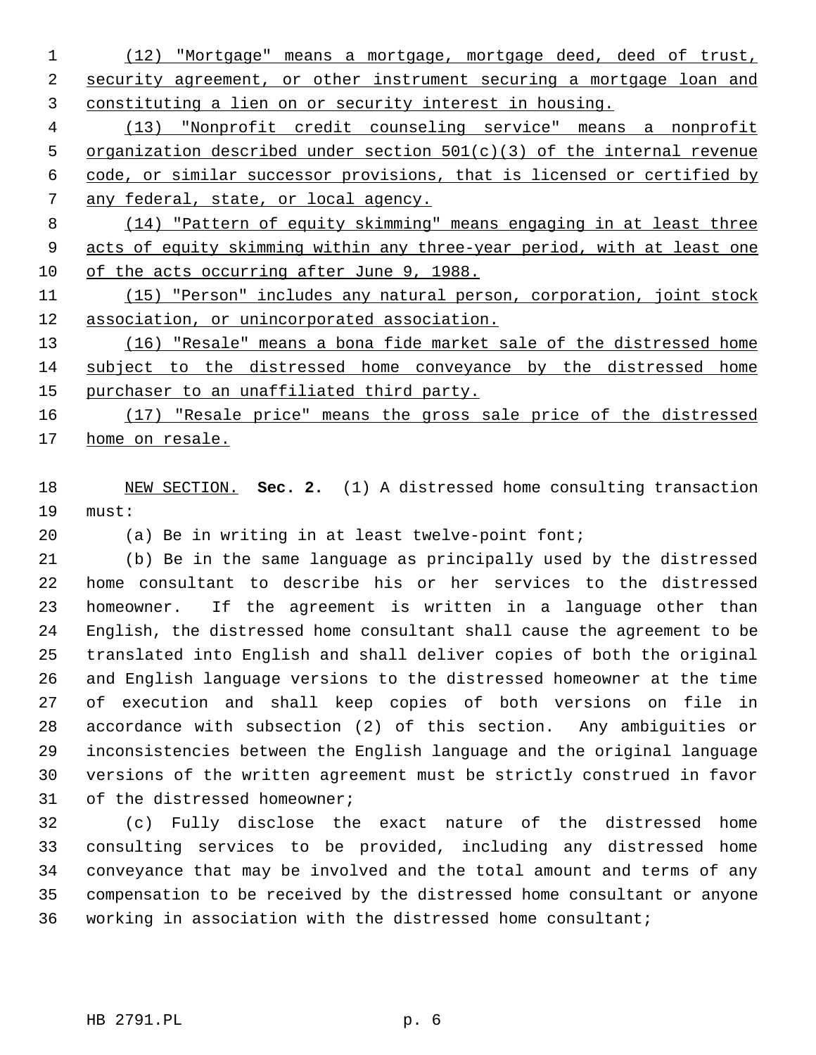(12) "Mortgage" means a mortgage, mortgage deed, deed of trust, security agreement, or other instrument securing a mortgage loan and constituting a lien on or security interest in housing.

 (13) "Nonprofit credit counseling service" means a nonprofit organization described under section 501(c)(3) of the internal revenue code, or similar successor provisions, that is licensed or certified by any federal, state, or local agency.

 (14) "Pattern of equity skimming" means engaging in at least three acts of equity skimming within any three-year period, with at least one of the acts occurring after June 9, 1988.

 (15) "Person" includes any natural person, corporation, joint stock association, or unincorporated association.

 (16) "Resale" means a bona fide market sale of the distressed home subject to the distressed home conveyance by the distressed home 15 purchaser to an unaffiliated third party.

 (17) "Resale price" means the gross sale price of the distressed home on resale.

 NEW SECTION. **Sec. 2.** (1) A distressed home consulting transaction must:

(a) Be in writing in at least twelve-point font;

 (b) Be in the same language as principally used by the distressed home consultant to describe his or her services to the distressed homeowner. If the agreement is written in a language other than English, the distressed home consultant shall cause the agreement to be translated into English and shall deliver copies of both the original and English language versions to the distressed homeowner at the time of execution and shall keep copies of both versions on file in accordance with subsection (2) of this section. Any ambiguities or inconsistencies between the English language and the original language versions of the written agreement must be strictly construed in favor 31 of the distressed homeowner;

 (c) Fully disclose the exact nature of the distressed home consulting services to be provided, including any distressed home conveyance that may be involved and the total amount and terms of any compensation to be received by the distressed home consultant or anyone working in association with the distressed home consultant;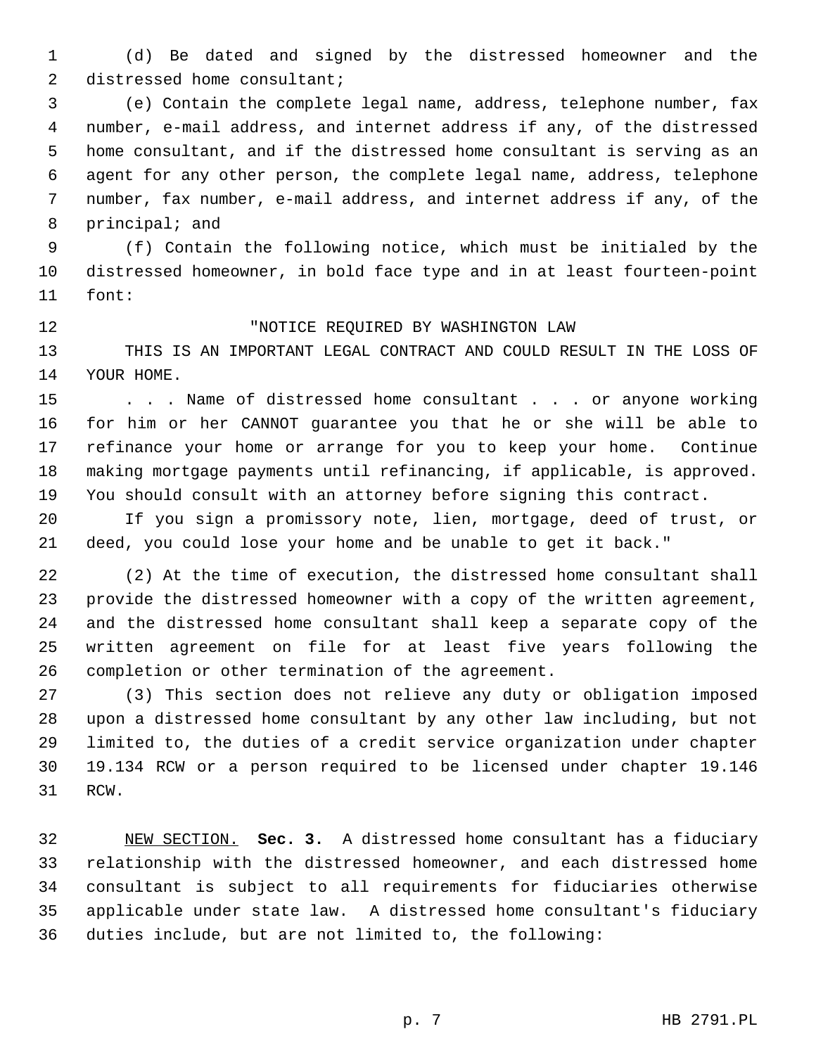(d) Be dated and signed by the distressed homeowner and the 2 distressed home consultant;

 (e) Contain the complete legal name, address, telephone number, fax number, e-mail address, and internet address if any, of the distressed home consultant, and if the distressed home consultant is serving as an agent for any other person, the complete legal name, address, telephone number, fax number, e-mail address, and internet address if any, of the principal; and

 (f) Contain the following notice, which must be initialed by the distressed homeowner, in bold face type and in at least fourteen-point font:

## "NOTICE REQUIRED BY WASHINGTON LAW

 THIS IS AN IMPORTANT LEGAL CONTRACT AND COULD RESULT IN THE LOSS OF YOUR HOME.

15 . . . Name of distressed home consultant . . . or anyone working for him or her CANNOT guarantee you that he or she will be able to refinance your home or arrange for you to keep your home. Continue making mortgage payments until refinancing, if applicable, is approved. You should consult with an attorney before signing this contract.

 If you sign a promissory note, lien, mortgage, deed of trust, or deed, you could lose your home and be unable to get it back."

 (2) At the time of execution, the distressed home consultant shall provide the distressed homeowner with a copy of the written agreement, and the distressed home consultant shall keep a separate copy of the written agreement on file for at least five years following the completion or other termination of the agreement.

 (3) This section does not relieve any duty or obligation imposed upon a distressed home consultant by any other law including, but not limited to, the duties of a credit service organization under chapter 19.134 RCW or a person required to be licensed under chapter 19.146 RCW.

 NEW SECTION. **Sec. 3.** A distressed home consultant has a fiduciary relationship with the distressed homeowner, and each distressed home consultant is subject to all requirements for fiduciaries otherwise applicable under state law. A distressed home consultant's fiduciary duties include, but are not limited to, the following: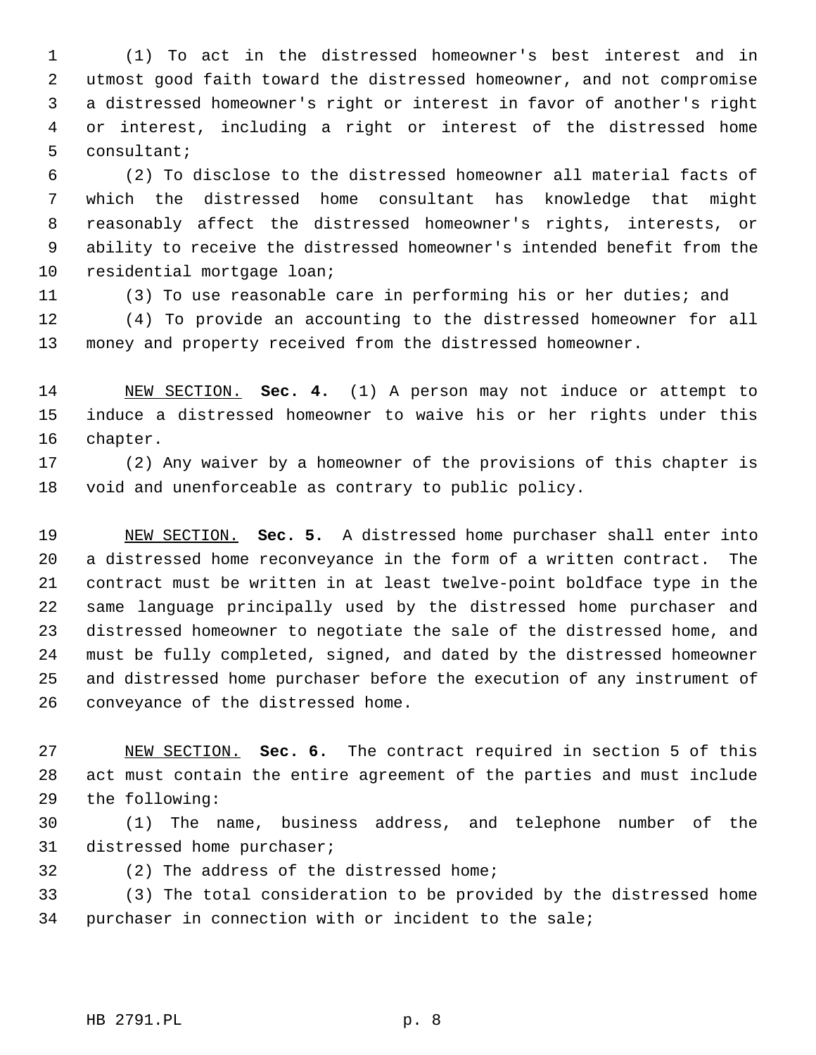(1) To act in the distressed homeowner's best interest and in utmost good faith toward the distressed homeowner, and not compromise a distressed homeowner's right or interest in favor of another's right or interest, including a right or interest of the distressed home consultant;

 (2) To disclose to the distressed homeowner all material facts of which the distressed home consultant has knowledge that might reasonably affect the distressed homeowner's rights, interests, or ability to receive the distressed homeowner's intended benefit from the residential mortgage loan;

 (3) To use reasonable care in performing his or her duties; and (4) To provide an accounting to the distressed homeowner for all money and property received from the distressed homeowner.

 NEW SECTION. **Sec. 4.** (1) A person may not induce or attempt to induce a distressed homeowner to waive his or her rights under this chapter.

 (2) Any waiver by a homeowner of the provisions of this chapter is void and unenforceable as contrary to public policy.

 NEW SECTION. **Sec. 5.** A distressed home purchaser shall enter into a distressed home reconveyance in the form of a written contract. The contract must be written in at least twelve-point boldface type in the same language principally used by the distressed home purchaser and distressed homeowner to negotiate the sale of the distressed home, and must be fully completed, signed, and dated by the distressed homeowner and distressed home purchaser before the execution of any instrument of conveyance of the distressed home.

 NEW SECTION. **Sec. 6.** The contract required in section 5 of this act must contain the entire agreement of the parties and must include the following:

 (1) The name, business address, and telephone number of the distressed home purchaser;

(2) The address of the distressed home;

 (3) The total consideration to be provided by the distressed home purchaser in connection with or incident to the sale;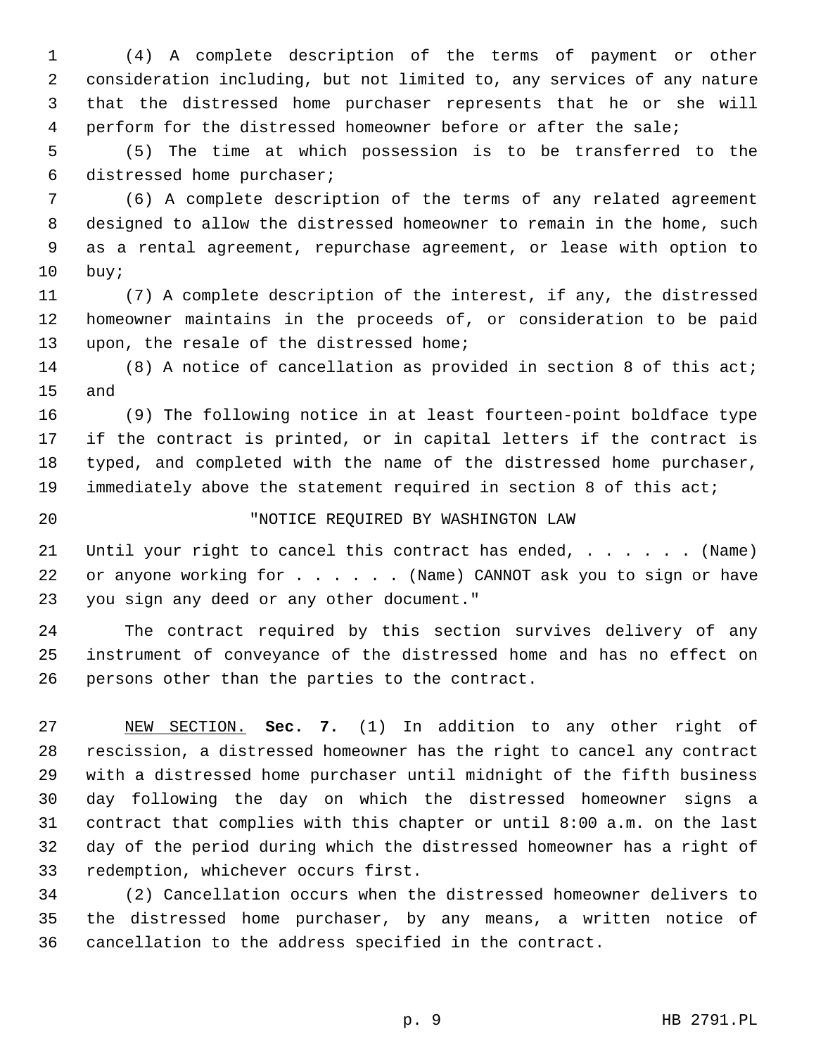(4) A complete description of the terms of payment or other consideration including, but not limited to, any services of any nature that the distressed home purchaser represents that he or she will perform for the distressed homeowner before or after the sale;

 (5) The time at which possession is to be transferred to the distressed home purchaser;

 (6) A complete description of the terms of any related agreement designed to allow the distressed homeowner to remain in the home, such as a rental agreement, repurchase agreement, or lease with option to buy;

 (7) A complete description of the interest, if any, the distressed homeowner maintains in the proceeds of, or consideration to be paid upon, the resale of the distressed home;

 (8) A notice of cancellation as provided in section 8 of this act; and

 (9) The following notice in at least fourteen-point boldface type if the contract is printed, or in capital letters if the contract is typed, and completed with the name of the distressed home purchaser, immediately above the statement required in section 8 of this act;

## "NOTICE REQUIRED BY WASHINGTON LAW

21 Until your right to cancel this contract has ended, . . . . . . (Name) 22 or anyone working for . . . . . (Name) CANNOT ask you to sign or have you sign any deed or any other document."

 The contract required by this section survives delivery of any instrument of conveyance of the distressed home and has no effect on persons other than the parties to the contract.

 NEW SECTION. **Sec. 7.** (1) In addition to any other right of rescission, a distressed homeowner has the right to cancel any contract with a distressed home purchaser until midnight of the fifth business day following the day on which the distressed homeowner signs a contract that complies with this chapter or until 8:00 a.m. on the last day of the period during which the distressed homeowner has a right of redemption, whichever occurs first.

 (2) Cancellation occurs when the distressed homeowner delivers to the distressed home purchaser, by any means, a written notice of cancellation to the address specified in the contract.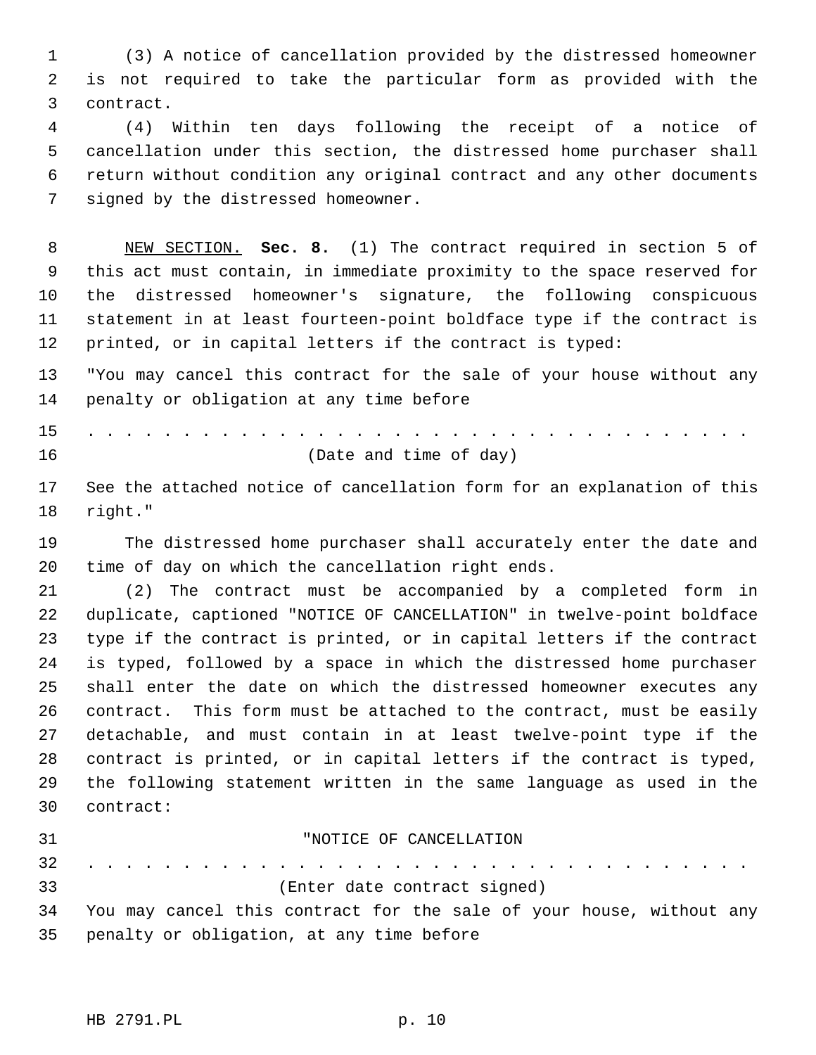(3) A notice of cancellation provided by the distressed homeowner is not required to take the particular form as provided with the contract.

 (4) Within ten days following the receipt of a notice of cancellation under this section, the distressed home purchaser shall return without condition any original contract and any other documents signed by the distressed homeowner.

 NEW SECTION. **Sec. 8.** (1) The contract required in section 5 of this act must contain, in immediate proximity to the space reserved for the distressed homeowner's signature, the following conspicuous statement in at least fourteen-point boldface type if the contract is printed, or in capital letters if the contract is typed:

 "You may cancel this contract for the sale of your house without any penalty or obligation at any time before

15 . . . . . . . . . . . . . . . . . . . . . . . . . . . . . . . . . . . (Date and time of day)

 See the attached notice of cancellation form for an explanation of this right."

 The distressed home purchaser shall accurately enter the date and time of day on which the cancellation right ends.

 (2) The contract must be accompanied by a completed form in duplicate, captioned "NOTICE OF CANCELLATION" in twelve-point boldface type if the contract is printed, or in capital letters if the contract is typed, followed by a space in which the distressed home purchaser shall enter the date on which the distressed homeowner executes any contract. This form must be attached to the contract, must be easily detachable, and must contain in at least twelve-point type if the contract is printed, or in capital letters if the contract is typed, the following statement written in the same language as used in the contract:

| 31 | "NOTICE OF CANCELLATION                                                 |
|----|-------------------------------------------------------------------------|
|    |                                                                         |
| 33 | (Enter date contract signed)                                            |
|    | 34 You may cancel this contract for the sale of your house, without any |
|    | 35 penalty or obligation, at any time before                            |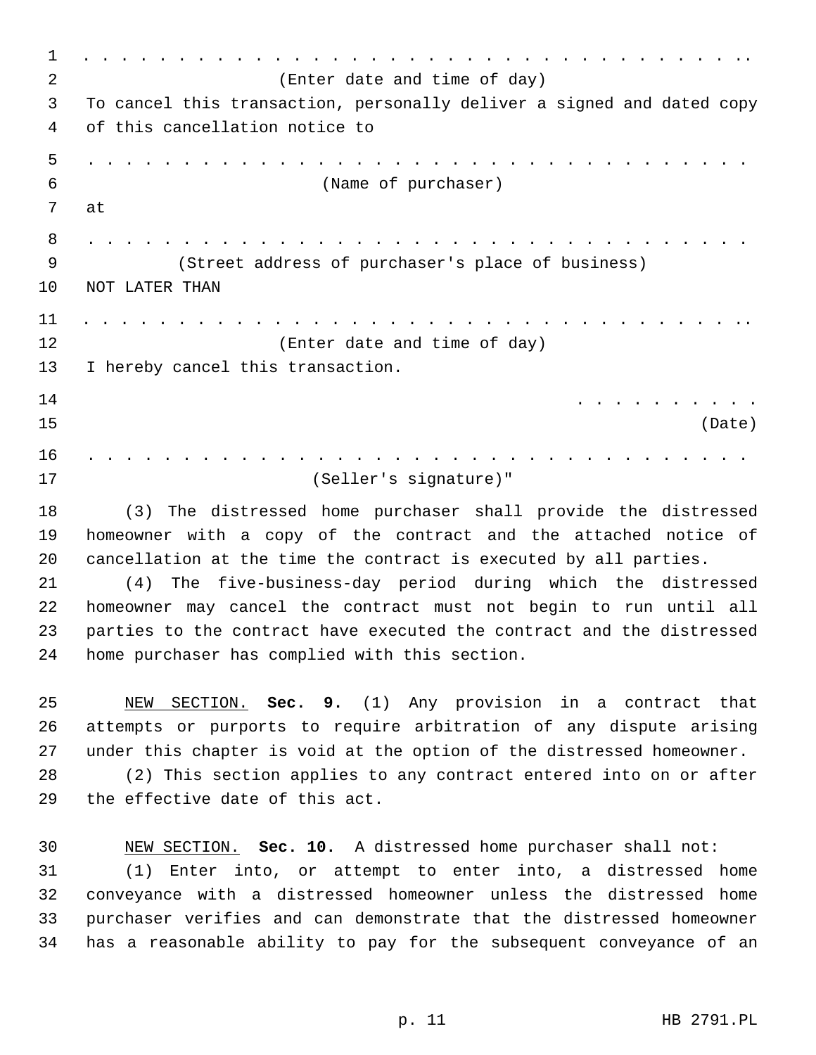1 . . . . . . . . . . . . . . . . . . . . . . . . . . . . . . . . . . .. (Enter date and time of day) To cancel this transaction, personally deliver a signed and dated copy of this cancellation notice to 5 . . . . . . . . . . . . . . . . . . . . . . . . . . . . . . . . . . . (Name of purchaser) at 8 . . . . . . . . . . . . . . . . . . . . . . . . . . . . . . . . . . . (Street address of purchaser's place of business) NOT LATER THAN 11 . . . . . . . . . . . . . . . . . . . . . . . . . . . . . . . . . . .. (Enter date and time of day) I hereby cancel this transaction. 14 . . . . . . . . . . (Date) 16 . . . . . . . . . . . . . . . . . . . . . . . . . . . . . . . . . . . (Seller's signature)" (3) The distressed home purchaser shall provide the distressed homeowner with a copy of the contract and the attached notice of cancellation at the time the contract is executed by all parties. (4) The five-business-day period during which the distressed homeowner may cancel the contract must not begin to run until all parties to the contract have executed the contract and the distressed home purchaser has complied with this section. NEW SECTION. **Sec. 9.** (1) Any provision in a contract that attempts or purports to require arbitration of any dispute arising under this chapter is void at the option of the distressed homeowner. (2) This section applies to any contract entered into on or after the effective date of this act. NEW SECTION. **Sec. 10.** A distressed home purchaser shall not: (1) Enter into, or attempt to enter into, a distressed home conveyance with a distressed homeowner unless the distressed home purchaser verifies and can demonstrate that the distressed homeowner has a reasonable ability to pay for the subsequent conveyance of an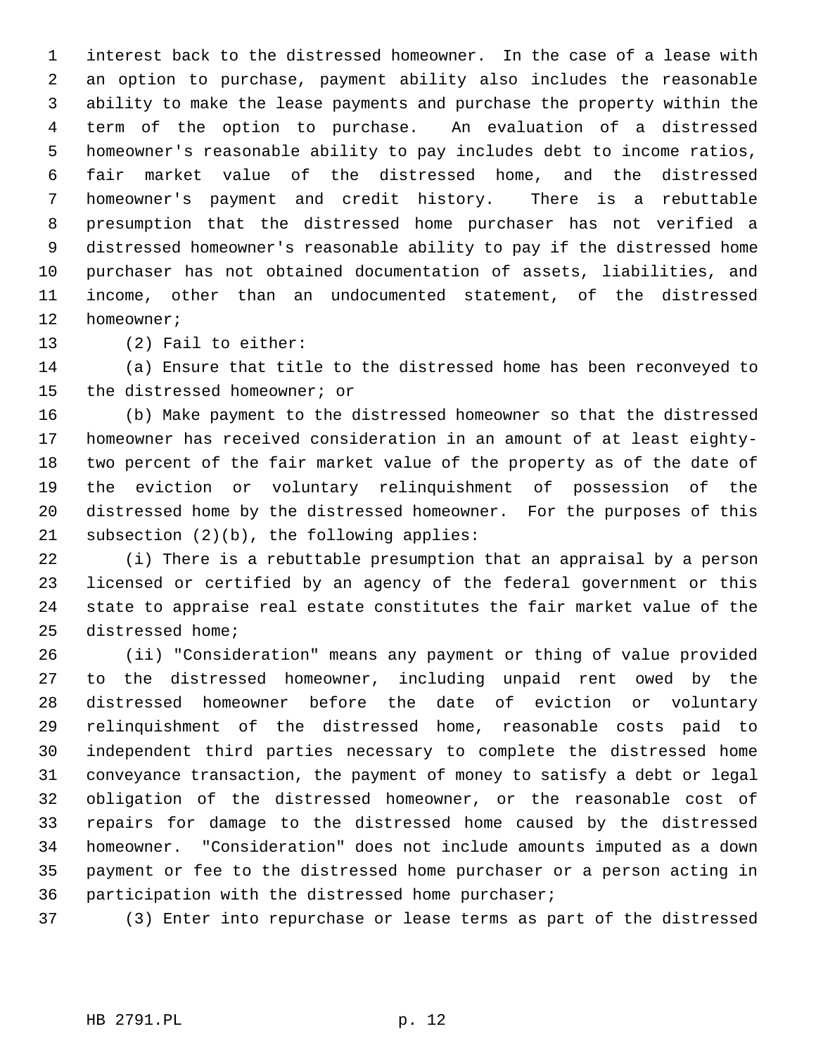interest back to the distressed homeowner. In the case of a lease with an option to purchase, payment ability also includes the reasonable ability to make the lease payments and purchase the property within the term of the option to purchase. An evaluation of a distressed homeowner's reasonable ability to pay includes debt to income ratios, fair market value of the distressed home, and the distressed homeowner's payment and credit history. There is a rebuttable presumption that the distressed home purchaser has not verified a distressed homeowner's reasonable ability to pay if the distressed home purchaser has not obtained documentation of assets, liabilities, and income, other than an undocumented statement, of the distressed homeowner;

(2) Fail to either:

 (a) Ensure that title to the distressed home has been reconveyed to the distressed homeowner; or

 (b) Make payment to the distressed homeowner so that the distressed homeowner has received consideration in an amount of at least eighty- two percent of the fair market value of the property as of the date of the eviction or voluntary relinquishment of possession of the distressed home by the distressed homeowner. For the purposes of this subsection (2)(b), the following applies:

 (i) There is a rebuttable presumption that an appraisal by a person licensed or certified by an agency of the federal government or this state to appraise real estate constitutes the fair market value of the distressed home;

 (ii) "Consideration" means any payment or thing of value provided to the distressed homeowner, including unpaid rent owed by the distressed homeowner before the date of eviction or voluntary relinquishment of the distressed home, reasonable costs paid to independent third parties necessary to complete the distressed home conveyance transaction, the payment of money to satisfy a debt or legal obligation of the distressed homeowner, or the reasonable cost of repairs for damage to the distressed home caused by the distressed homeowner. "Consideration" does not include amounts imputed as a down payment or fee to the distressed home purchaser or a person acting in participation with the distressed home purchaser;

(3) Enter into repurchase or lease terms as part of the distressed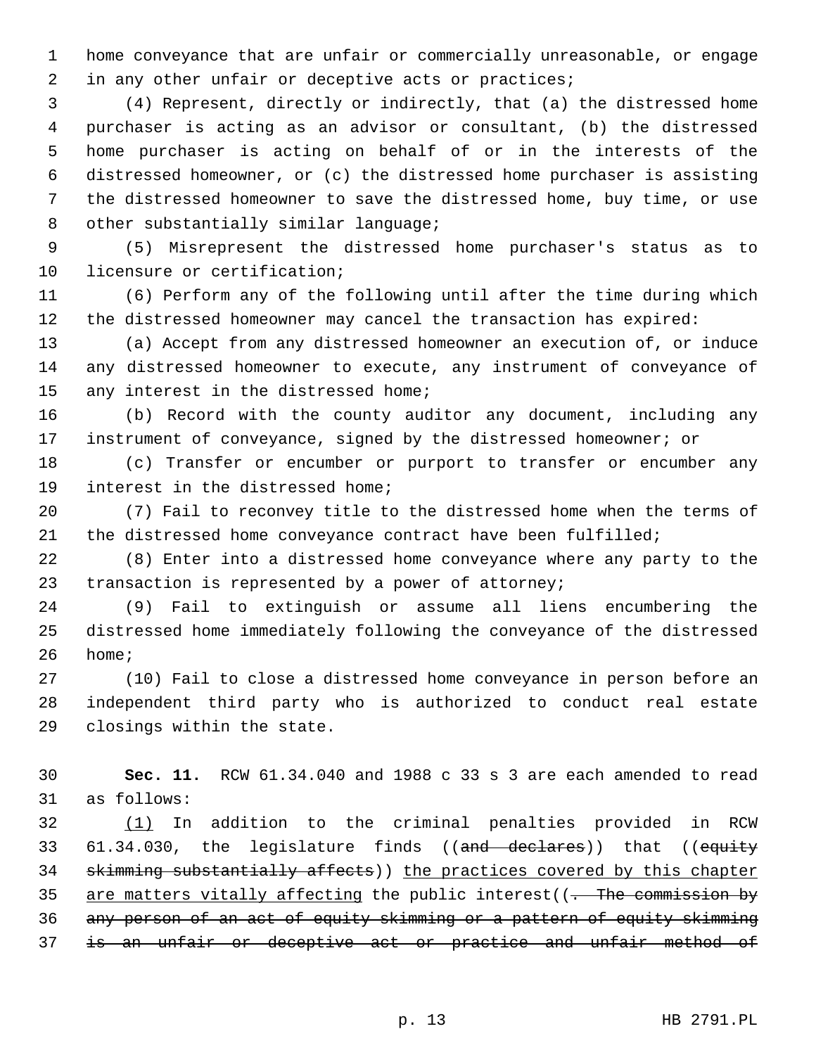home conveyance that are unfair or commercially unreasonable, or engage 2 in any other unfair or deceptive acts or practices;

 (4) Represent, directly or indirectly, that (a) the distressed home purchaser is acting as an advisor or consultant, (b) the distressed home purchaser is acting on behalf of or in the interests of the distressed homeowner, or (c) the distressed home purchaser is assisting the distressed homeowner to save the distressed home, buy time, or use 8 other substantially similar language;

 (5) Misrepresent the distressed home purchaser's status as to licensure or certification;

 (6) Perform any of the following until after the time during which the distressed homeowner may cancel the transaction has expired:

 (a) Accept from any distressed homeowner an execution of, or induce any distressed homeowner to execute, any instrument of conveyance of 15 any interest in the distressed home;

 (b) Record with the county auditor any document, including any instrument of conveyance, signed by the distressed homeowner; or

 (c) Transfer or encumber or purport to transfer or encumber any interest in the distressed home;

 (7) Fail to reconvey title to the distressed home when the terms of the distressed home conveyance contract have been fulfilled;

 (8) Enter into a distressed home conveyance where any party to the transaction is represented by a power of attorney;

 (9) Fail to extinguish or assume all liens encumbering the distressed home immediately following the conveyance of the distressed home;

 (10) Fail to close a distressed home conveyance in person before an independent third party who is authorized to conduct real estate closings within the state.

 **Sec. 11.** RCW 61.34.040 and 1988 c 33 s 3 are each amended to read as follows:

 (1) In addition to the criminal penalties provided in RCW 33 61.34.030, the legislature finds ((and declares)) that ((equity 34 skimming substantially affects)) the practices covered by this chapter 35 are matters vitally affecting the public interest((- The commission by any person of an act of equity skimming or a pattern of equity skimming 37 is an unfair or deceptive act or practice and unfair method of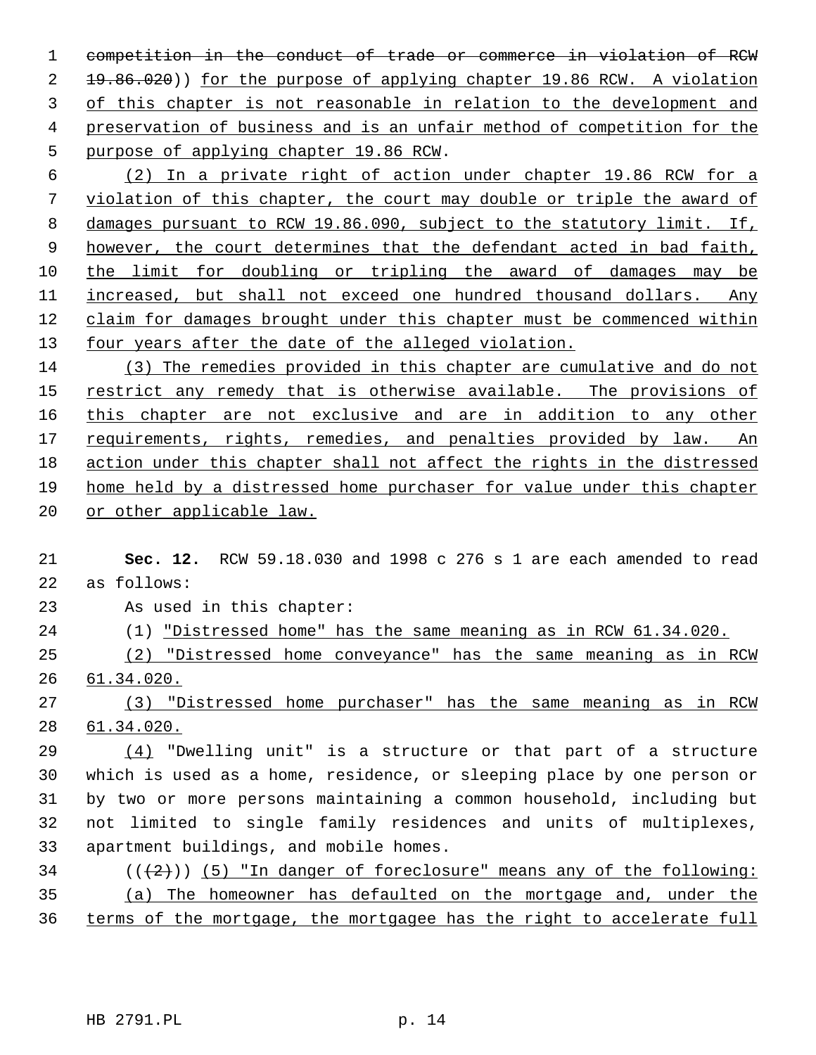competition in the conduct of trade or commerce in violation of RCW  $\pm 9.86.020$ ) for the purpose of applying chapter 19.86 RCW. A violation of this chapter is not reasonable in relation to the development and preservation of business and is an unfair method of competition for the purpose of applying chapter 19.86 RCW.

 (2) In a private right of action under chapter 19.86 RCW for a violation of this chapter, the court may double or triple the award of damages pursuant to RCW 19.86.090, subject to the statutory limit. If, however, the court determines that the defendant acted in bad faith, the limit for doubling or tripling the award of damages may be increased, but shall not exceed one hundred thousand dollars. Any claim for damages brought under this chapter must be commenced within 13 four years after the date of the alleged violation.

 (3) The remedies provided in this chapter are cumulative and do not restrict any remedy that is otherwise available. The provisions of this chapter are not exclusive and are in addition to any other 17 requirements, rights, remedies, and penalties provided by law. An action under this chapter shall not affect the rights in the distressed home held by a distressed home purchaser for value under this chapter or other applicable law.

 **Sec. 12.** RCW 59.18.030 and 1998 c 276 s 1 are each amended to read as follows:

As used in this chapter:

(1) "Distressed home" has the same meaning as in RCW 61.34.020.

 (2) "Distressed home conveyance" has the same meaning as in RCW 61.34.020.

 (3) "Distressed home purchaser" has the same meaning as in RCW 61.34.020.

 (4) "Dwelling unit" is a structure or that part of a structure which is used as a home, residence, or sleeping place by one person or by two or more persons maintaining a common household, including but not limited to single family residences and units of multiplexes, apartment buildings, and mobile homes.

 ( $(\frac{2}{2})$ ) (5) "In danger of foreclosure" means any of the following: (a) The homeowner has defaulted on the mortgage and, under the terms of the mortgage, the mortgagee has the right to accelerate full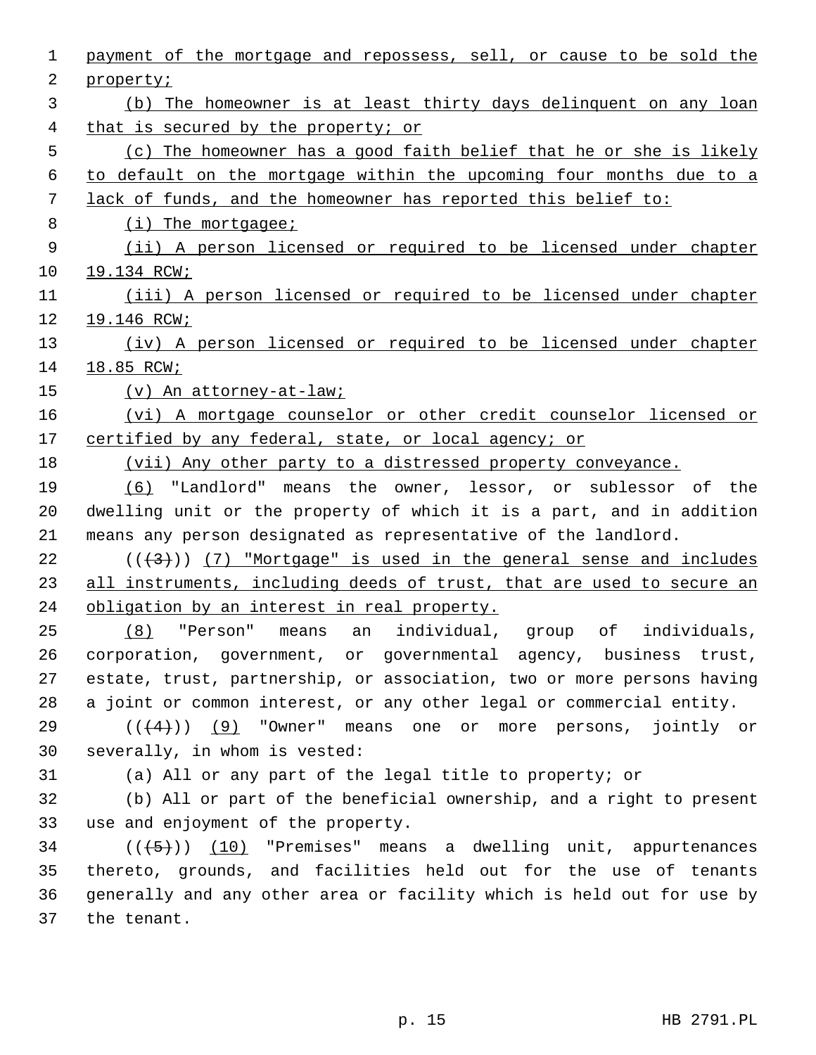| $\mathbf 1$ | payment of the mortgage and repossess, sell, or cause to be sold the   |
|-------------|------------------------------------------------------------------------|
| 2           | property;                                                              |
| 3           | (b) The homeowner is at least thirty days delinquent on any loan       |
| 4           | that is secured by the property; or                                    |
| 5           | (c) The homeowner has a good faith belief that he or she is likely     |
| 6           | to default on the mortgage within the upcoming four months due to a    |
| 7           | lack of funds, and the homeowner has reported this belief to:          |
| 8           | $(i)$ The mortgagee;                                                   |
| 9           | (ii) A person licensed or required to be licensed under chapter        |
| 10          | 19.134 RCW;                                                            |
| 11          | (iii) A person licensed or required to be licensed under chapter       |
| 12          | 19.146 RCW;                                                            |
| 13          | (iv) A person licensed or required to be licensed under chapter        |
| 14          | 18.85 RCW;                                                             |
| 15          | (v) An attorney-at-law;                                                |
| 16          | (vi) A mortgage counselor or other credit counselor licensed or        |
| 17          | certified by any federal, state, or local agency; or                   |
| 18          | (vii) Any other party to a distressed property conveyance.             |
| 19          | (6) "Landlord" means the owner, lessor, or sublessor of the            |
| 20          | dwelling unit or the property of which it is a part, and in addition   |
| 21          | means any person designated as representative of the landlord.         |
| 22          | $((+3))$ (7) "Mortgage" is used in the general sense and includes      |
| 23          | all instruments, including deeds of trust, that are used to secure an  |
| 24          | obligation by an interest in real property.                            |
| 25          | "Person" means an individual, group of<br>individuals,<br>(8)          |
| 26          | corporation, government, or governmental agency, business trust,       |
| 27          | estate, trust, partnership, or association, two or more persons having |
| 28          | a joint or common interest, or any other legal or commercial entity.   |
| 29          | $((+4))$ (9) "Owner" means one or more persons, jointly or             |
| 30          | severally, in whom is vested:                                          |
| 31          | (a) All or any part of the legal title to property; or                 |
| 32          | (b) All or part of the beneficial ownership, and a right to present    |
| 33          | use and enjoyment of the property.                                     |
| 34          | $((+5))$ (10) "Premises" means a dwelling unit, appurtenances          |
| 35          | thereto, grounds, and facilities held out for the use of tenants       |
| 36          | generally and any other area or facility which is held out for use by  |
| 37          | the tenant.                                                            |
|             |                                                                        |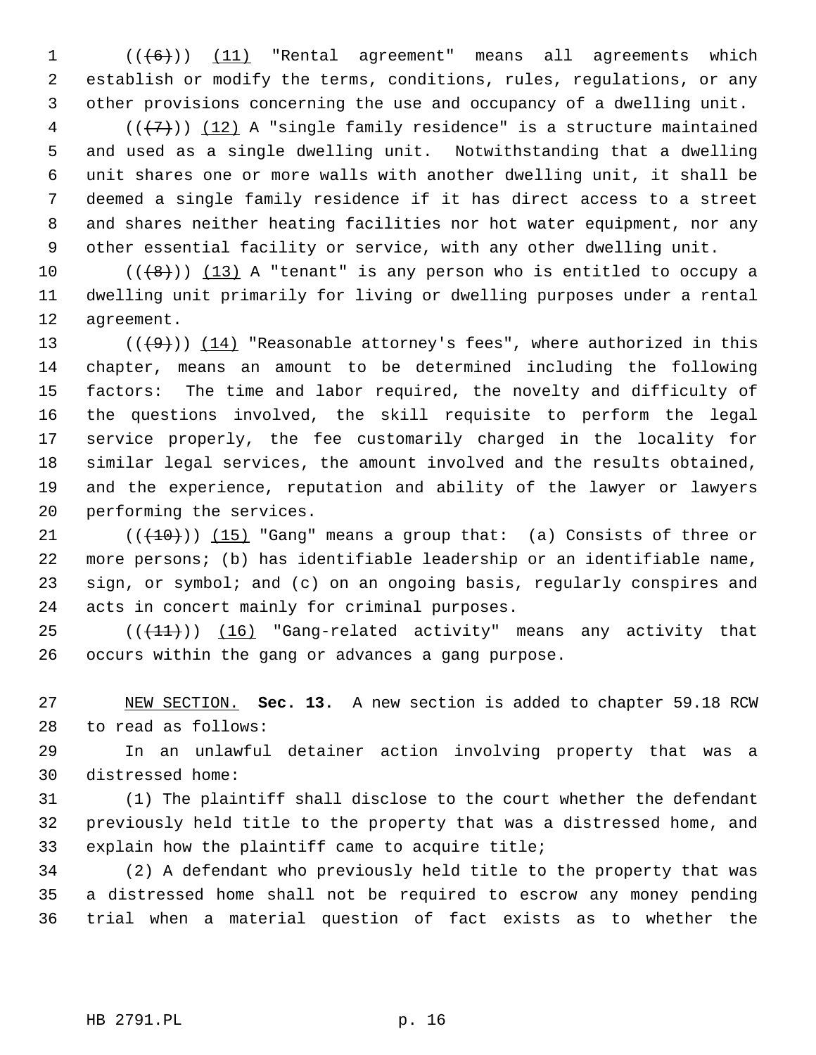$((+6))$   $(11)$  "Rental agreement" means all agreements which establish or modify the terms, conditions, rules, regulations, or any other provisions concerning the use and occupancy of a dwelling unit.

 (( $\{7\}$ )) (12) A "single family residence" is a structure maintained and used as a single dwelling unit. Notwithstanding that a dwelling unit shares one or more walls with another dwelling unit, it shall be deemed a single family residence if it has direct access to a street and shares neither heating facilities nor hot water equipment, nor any other essential facility or service, with any other dwelling unit.

 $((+8))$   $(13)$  A "tenant" is any person who is entitled to occupy a dwelling unit primarily for living or dwelling purposes under a rental agreement.

13 ( $(\frac{49}{})$ ) (14) "Reasonable attorney's fees", where authorized in this chapter, means an amount to be determined including the following factors: The time and labor required, the novelty and difficulty of the questions involved, the skill requisite to perform the legal service properly, the fee customarily charged in the locality for similar legal services, the amount involved and the results obtained, and the experience, reputation and ability of the lawyer or lawyers performing the services.

 $((+10))$   $(15)$  "Gang" means a group that: (a) Consists of three or more persons; (b) has identifiable leadership or an identifiable name, sign, or symbol; and (c) on an ongoing basis, regularly conspires and acts in concert mainly for criminal purposes.

 $((+11))$   $(16)$  "Gang-related activity" means any activity that occurs within the gang or advances a gang purpose.

 NEW SECTION. **Sec. 13.** A new section is added to chapter 59.18 RCW to read as follows:

 In an unlawful detainer action involving property that was a distressed home:

 (1) The plaintiff shall disclose to the court whether the defendant previously held title to the property that was a distressed home, and explain how the plaintiff came to acquire title;

 (2) A defendant who previously held title to the property that was a distressed home shall not be required to escrow any money pending trial when a material question of fact exists as to whether the